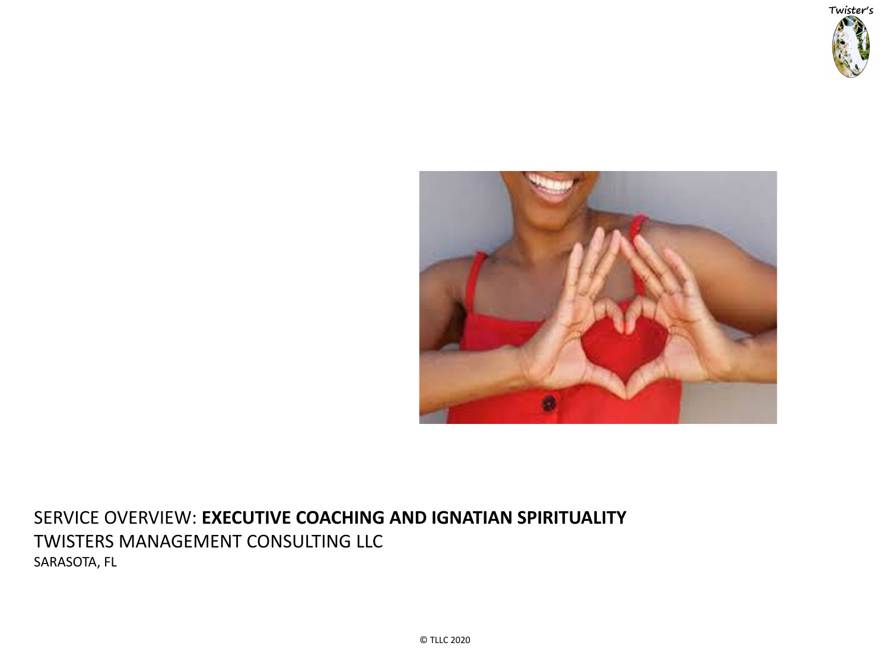

# SERVICE OVERVIEW: **EXECUTIVE COACHING AND IGNATIAN SPIRITUALITY** TWISTERS MANAGEMENT CONSULTING LLC SARASOTA, FL